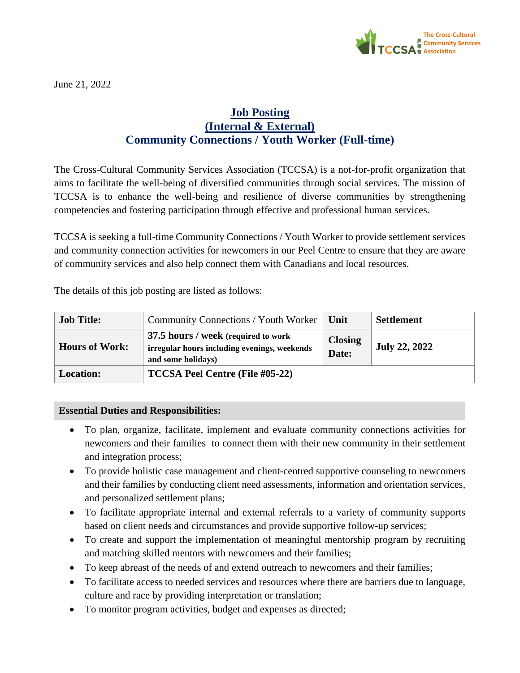

June 21, 2022

## **Job Posting (Internal & External) Community Connections / Youth Worker (Full-time)**

The Cross-Cultural Community Services Association (TCCSA) is a not-for-profit organization that aims to facilitate the well-being of diversified communities through social services. The mission of TCCSA is to enhance the well-being and resilience of diverse communities by strengthening competencies and fostering participation through effective and professional human services.

TCCSA is seeking a full-time Community Connections / Youth Worker to provide settlement services and community connection activities for newcomers in our Peel Centre to ensure that they are aware of community services and also help connect them with Canadians and local resources.

The details of this job posting are listed as follows:

| <b>Job Title:</b>     | Community Connections / Youth Worker                                                                      | Unit                    | <b>Settlement</b>    |
|-----------------------|-----------------------------------------------------------------------------------------------------------|-------------------------|----------------------|
| <b>Hours of Work:</b> | 37.5 hours / week (required to work<br>irregular hours including evenings, weekends<br>and some holidays) | <b>Closing</b><br>Date: | <b>July 22, 2022</b> |
| <b>Location:</b>      | <b>TCCSA Peel Centre (File #05-22)</b>                                                                    |                         |                      |

## **Essential Duties and Responsibilities:**

- To plan, organize, facilitate, implement and evaluate community connections activities for newcomers and their families to connect them with their new community in their settlement and integration process;
- To provide holistic case management and client-centred supportive counseling to newcomers and their families by conducting client need assessments, information and orientation services, and personalized settlement plans;
- To facilitate appropriate internal and external referrals to a variety of community supports based on client needs and circumstances and provide supportive follow-up services;
- To create and support the implementation of meaningful mentorship program by recruiting and matching skilled mentors with newcomers and their families;
- To keep abreast of the needs of and extend outreach to newcomers and their families;
- To facilitate access to needed services and resources where there are barriers due to language, culture and race by providing interpretation or translation;
- To monitor program activities, budget and expenses as directed;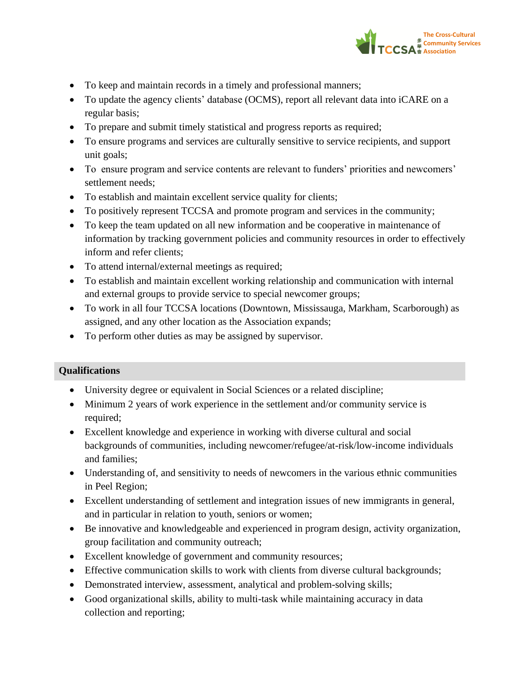

- To keep and maintain records in a timely and professional manners;
- To update the agency clients' database (OCMS), report all relevant data into iCARE on a regular basis;
- To prepare and submit timely statistical and progress reports as required;
- To ensure programs and services are culturally sensitive to service recipients, and support unit goals;
- To ensure program and service contents are relevant to funders' priorities and newcomers' settlement needs;
- To establish and maintain excellent service quality for clients;
- To positively represent TCCSA and promote program and services in the community;
- To keep the team updated on all new information and be cooperative in maintenance of information by tracking government policies and community resources in order to effectively inform and refer clients;
- To attend internal/external meetings as required;
- To establish and maintain excellent working relationship and communication with internal and external groups to provide service to special newcomer groups;
- To work in all four TCCSA locations (Downtown, Mississauga, Markham, Scarborough) as assigned, and any other location as the Association expands;
- To perform other duties as may be assigned by supervisor.

## **Qualifications**

- University degree or equivalent in Social Sciences or a related discipline;
- Minimum 2 years of work experience in the settlement and/or community service is required;
- Excellent knowledge and experience in working with diverse cultural and social backgrounds of communities, including newcomer/refugee/at-risk/low-income individuals and families;
- Understanding of, and sensitivity to needs of newcomers in the various ethnic communities in Peel Region;
- Excellent understanding of settlement and integration issues of new immigrants in general, and in particular in relation to youth, seniors or women;
- Be innovative and knowledgeable and experienced in program design, activity organization, group facilitation and community outreach;
- Excellent knowledge of government and community resources;
- Effective communication skills to work with clients from diverse cultural backgrounds;
- Demonstrated interview, assessment, analytical and problem-solving skills;
- Good organizational skills, ability to multi-task while maintaining accuracy in data collection and reporting;